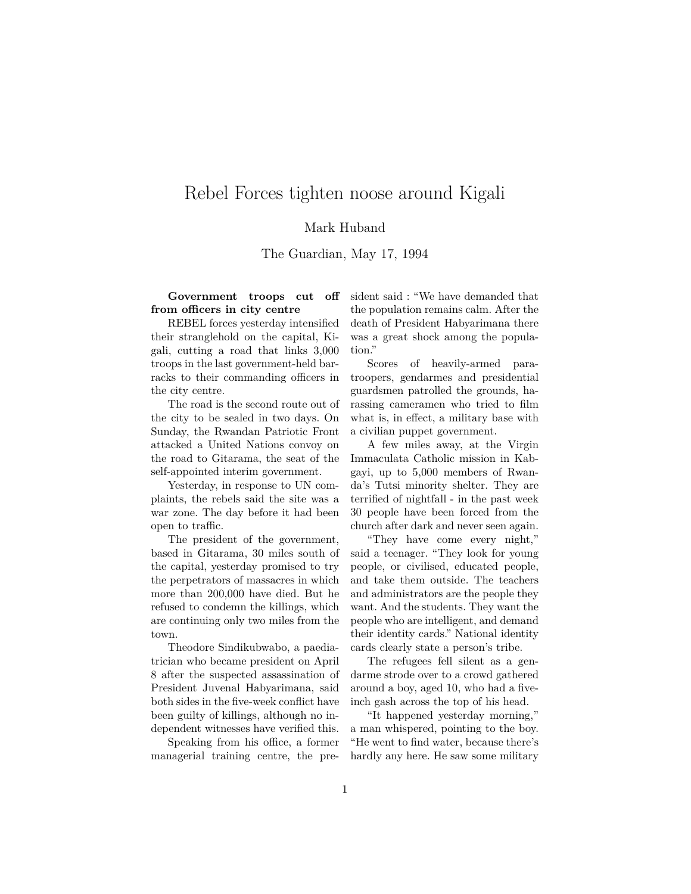## Rebel Forces tighten noose around Kigali

## Mark Huband

The Guardian, May 17, 1994

**Government troops cut off from officers in city centre**

REBEL forces yesterday intensified their stranglehold on the capital, Kigali, cutting a road that links 3,000 troops in the last government-held barracks to their commanding officers in the city centre.

The road is the second route out of the city to be sealed in two days. On Sunday, the Rwandan Patriotic Front attacked a United Nations convoy on the road to Gitarama, the seat of the self-appointed interim government.

Yesterday, in response to UN complaints, the rebels said the site was a war zone. The day before it had been open to traffic.

The president of the government, based in Gitarama, 30 miles south of the capital, yesterday promised to try the perpetrators of massacres in which more than 200,000 have died. But he refused to condemn the killings, which are continuing only two miles from the town.

Theodore Sindikubwabo, a paediatrician who became president on April 8 after the suspected assassination of President Juvenal Habyarimana, said both sides in the five-week conflict have been guilty of killings, although no independent witnesses have verified this.

Speaking from his office, a former managerial training centre, the president said : "We have demanded that the population remains calm. After the death of President Habyarimana there was a great shock among the population."

Scores of heavily-armed paratroopers, gendarmes and presidential guardsmen patrolled the grounds, harassing cameramen who tried to film what is, in effect, a military base with a civilian puppet government.

A few miles away, at the Virgin Immaculata Catholic mission in Kabgayi, up to 5,000 members of Rwanda's Tutsi minority shelter. They are terrified of nightfall - in the past week 30 people have been forced from the church after dark and never seen again.

"They have come every night," said a teenager. "They look for young people, or civilised, educated people, and take them outside. The teachers and administrators are the people they want. And the students. They want the people who are intelligent, and demand their identity cards." National identity cards clearly state a person's tribe.

The refugees fell silent as a gendarme strode over to a crowd gathered around a boy, aged 10, who had a fiveinch gash across the top of his head.

"It happened yesterday morning," a man whispered, pointing to the boy. "He went to find water, because there's hardly any here. He saw some military